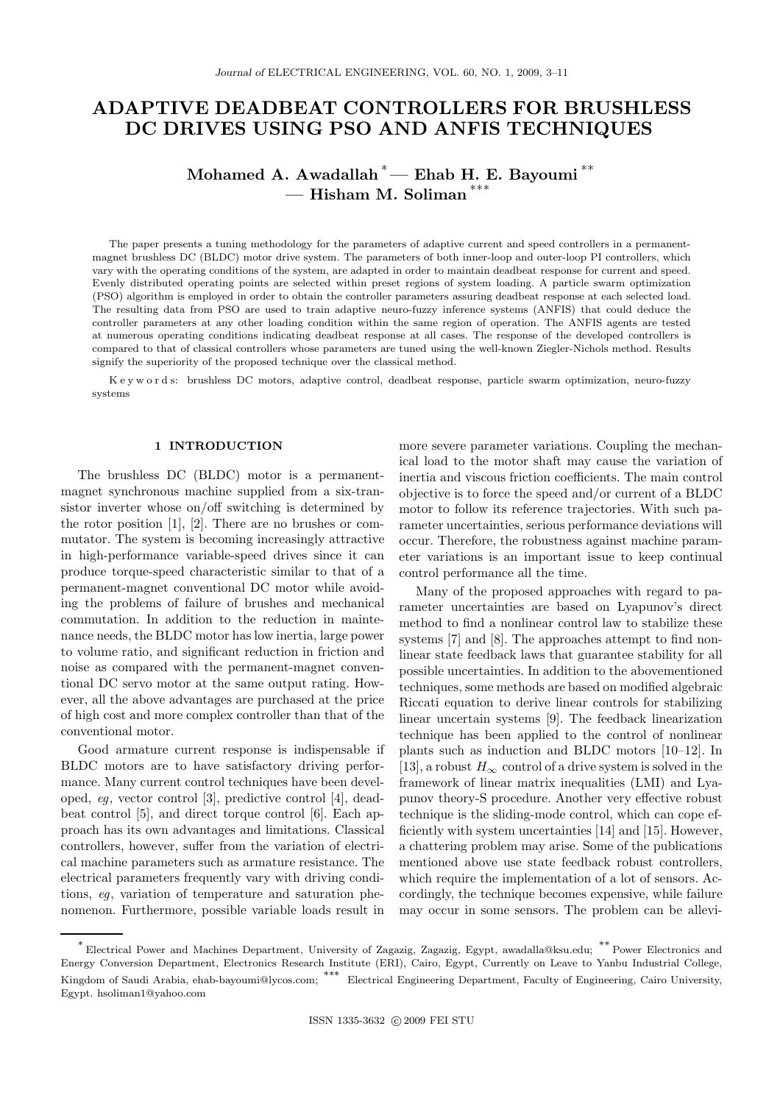# ADAPTIVE DEADBEAT CONTROLLERS FOR BRUSHLESS DC DRIVES USING PSO AND ANFIS TECHNIQUES

## Mohamed A. Awadallah  $*$  Ehab H. E. Bayoumi $*$ \*  $-$  Hisham M. Soliman  $^{***}$

The paper presents a tuning methodology for the parameters of adaptive current and speed controllers in a permanentmagnet brushless DC (BLDC) motor drive system. The parameters of both inner-loop and outer-loop PI controllers, which vary with the operating conditions of the system, are adapted in order to maintain deadbeat response for current and speed. Evenly distributed operating points are selected within preset regions of system loading. A particle swarm optimization (PSO) algorithm is employed in order to obtain the controller parameters assuring deadbeat response at each selected load. The resulting data from PSO are used to train adaptive neuro-fuzzy inference systems (ANFIS) that could deduce the controller parameters at any other loading condition within the same region of operation. The ANFIS agents are tested at numerous operating conditions indicating deadbeat response at all cases. The response of the developed controllers is compared to that of classical controllers whose parameters are tuned using the well-known Ziegler-Nichols method. Results signify the superiority of the proposed technique over the classical method.

K e y w o r d s: brushless DC motors, adaptive control, deadbeat response, particle swarm optimization, neuro-fuzzy systems

### 1 INTRODUCTION

The brushless DC (BLDC) motor is a permanentmagnet synchronous machine supplied from a six-transistor inverter whose on/off switching is determined by the rotor position [1], [2]. There are no brushes or commutator. The system is becoming increasingly attractive in high-performance variable-speed drives since it can produce torque-speed characteristic similar to that of a permanent-magnet conventional DC motor while avoiding the problems of failure of brushes and mechanical commutation. In addition to the reduction in maintenance needs, the BLDC motor has low inertia, large power to volume ratio, and significant reduction in friction and noise as compared with the permanent-magnet conventional DC servo motor at the same output rating. However, all the above advantages are purchased at the price of high cost and more complex controller than that of the conventional motor.

Good armature current response is indispensable if BLDC motors are to have satisfactory driving performance. Many current control techniques have been developed, eg, vector control [3], predictive control [4], deadbeat control [5], and direct torque control [6]. Each approach has its own advantages and limitations. Classical controllers, however, suffer from the variation of electrical machine parameters such as armature resistance. The electrical parameters frequently vary with driving conditions, eg, variation of temperature and saturation phenomenon. Furthermore, possible variable loads result in more severe parameter variations. Coupling the mechanical load to the motor shaft may cause the variation of inertia and viscous friction coefficients. The main control objective is to force the speed and/or current of a BLDC motor to follow its reference trajectories. With such parameter uncertainties, serious performance deviations will occur. Therefore, the robustness against machine parameter variations is an important issue to keep continual control performance all the time.

Many of the proposed approaches with regard to parameter uncertainties are based on Lyapunov's direct method to find a nonlinear control law to stabilize these systems [7] and [8]. The approaches attempt to find nonlinear state feedback laws that guarantee stability for all possible uncertainties. In addition to the abovementioned techniques, some methods are based on modified algebraic Riccati equation to derive linear controls for stabilizing linear uncertain systems [9]. The feedback linearization technique has been applied to the control of nonlinear plants such as induction and BLDC motors [10–12]. In [13], a robust  $H_{\infty}$  control of a drive system is solved in the framework of linear matrix inequalities (LMI) and Lyapunov theory-S procedure. Another very effective robust technique is the sliding-mode control, which can cope efficiently with system uncertainties [14] and [15]. However, a chattering problem may arise. Some of the publications mentioned above use state feedback robust controllers, which require the implementation of a lot of sensors. Accordingly, the technique becomes expensive, while failure may occur in some sensors. The problem can be allevi-

<sup>∗</sup> Electrical Power and Machines Department, University of Zagazig, Zagazig, Egypt, awadalla@ksu.edu; ∗∗ Power Electronics and Energy Conversion Department, Electronics Research Institute (ERI), Cairo, Egypt, Currently on Leave to Yanbu Industrial College, Kingdom of Saudi Arabia, ehab-bayoumi@lycos.com; ∗∗∗ Electrical Engineering Department, Faculty of Engineering, Cairo University, Egypt. hsoliman1@yahoo.com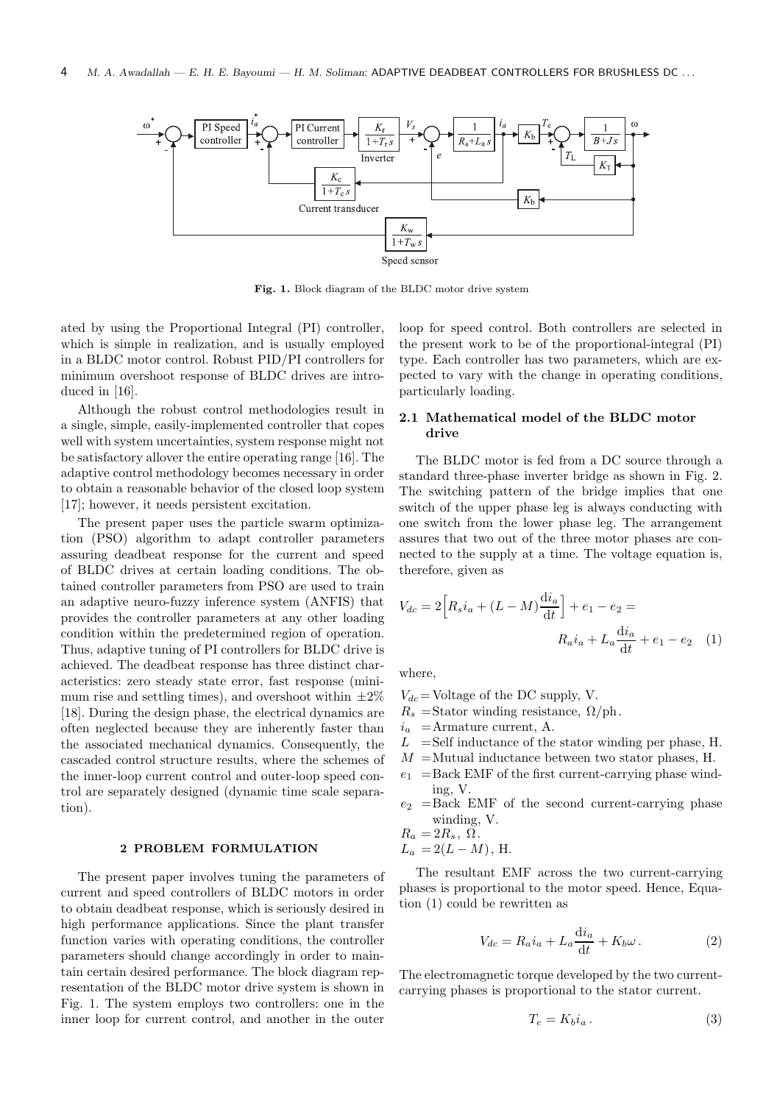

Fig. 1. Block diagram of the BLDC motor drive system

ated by using the Proportional Integral (PI) controller, which is simple in realization, and is usually employed in a BLDC motor control. Robust PID/PI controllers for minimum overshoot response of BLDC drives are introduced in [16].

Although the robust control methodologies result in a single, simple, easily-implemented controller that copes well with system uncertainties, system response might not be satisfactory allover the entire operating range [16]. The adaptive control methodology becomes necessary in order to obtain a reasonable behavior of the closed loop system [17]; however, it needs persistent excitation.

The present paper uses the particle swarm optimization (PSO) algorithm to adapt controller parameters assuring deadbeat response for the current and speed of BLDC drives at certain loading conditions. The obtained controller parameters from PSO are used to train an adaptive neuro-fuzzy inference system (ANFIS) that provides the controller parameters at any other loading condition within the predetermined region of operation. Thus, adaptive tuning of PI controllers for BLDC drive is achieved. The deadbeat response has three distinct characteristics: zero steady state error, fast response (minimum rise and settling times), and overshoot within  $\pm 2\%$ [18]. During the design phase, the electrical dynamics are often neglected because they are inherently faster than the associated mechanical dynamics. Consequently, the cascaded control structure results, where the schemes of the inner-loop current control and outer-loop speed control are separately designed (dynamic time scale separation).

### 2 PROBLEM FORMULATION

The present paper involves tuning the parameters of current and speed controllers of BLDC motors in order to obtain deadbeat response, which is seriously desired in high performance applications. Since the plant transfer function varies with operating conditions, the controller parameters should change accordingly in order to maintain certain desired performance. The block diagram representation of the BLDC motor drive system is shown in Fig. 1. The system employs two controllers: one in the inner loop for current control, and another in the outer

loop for speed control. Both controllers are selected in the present work to be of the proportional-integral (PI) type. Each controller has two parameters, which are expected to vary with the change in operating conditions, particularly loading.

### 2.1 Mathematical model of the BLDC motor drive

The BLDC motor is fed from a DC source through a standard three-phase inverter bridge as shown in Fig. 2. The switching pattern of the bridge implies that one switch of the upper phase leg is always conducting with one switch from the lower phase leg. The arrangement assures that two out of the three motor phases are connected to the supply at a time. The voltage equation is, therefore, given as

$$
V_{dc} = 2\left[R_s i_a + (L - M)\frac{di_a}{dt}\right] + e_1 - e_2 =
$$
  

$$
R_a i_a + L_a \frac{di_a}{dt} + e_1 - e_2 \quad (1)
$$

where,

- $V_{dc}$  = Voltage of the DC supply, V.
- $R_s$  =Stator winding resistance,  $\Omega/\text{ph}$ .
- $i_a$  =Armature current, A.
- $L =$ Self inductance of the stator winding per phase, H.
- $M =$ Mutual inductance between two stator phases, H.
- $e_1$  = Back EMF of the first current-carrying phase winding, V.
- $e_2$  =Back EMF of the second current-carrying phase winding, V.

$$
R_a = 2R_s, \ \Omega.
$$

$$
L_a = 2(L - M), \,\mathrm{H}.
$$

The resultant EMF across the two current-carrying phases is proportional to the motor speed. Hence, Equation (1) could be rewritten as

$$
V_{dc} = R_a i_a + L_a \frac{\mathrm{d}i_a}{\mathrm{d}t} + K_b \omega \,. \tag{2}
$$

The electromagnetic torque developed by the two currentcarrying phases is proportional to the stator current.

$$
T_e = K_b i_a \,. \tag{3}
$$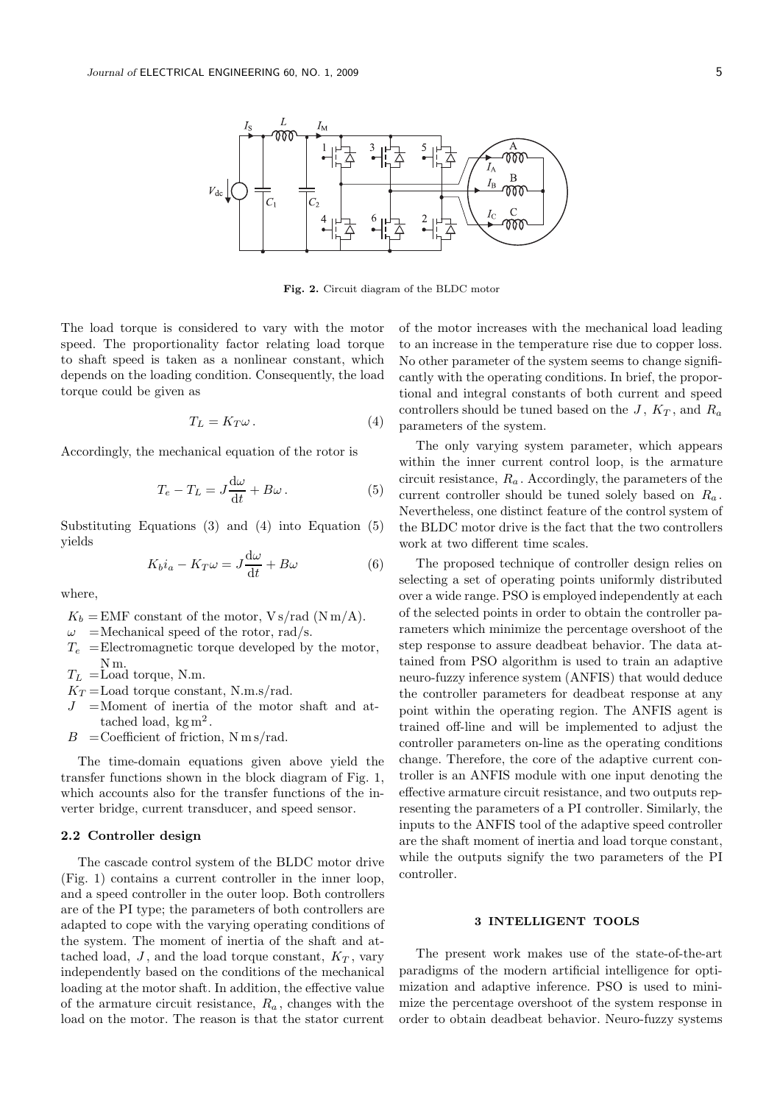

Fig. 2. Circuit diagram of the BLDC motor

The load torque is considered to vary with the motor speed. The proportionality factor relating load torque to shaft speed is taken as a nonlinear constant, which depends on the loading condition. Consequently, the load torque could be given as

$$
T_L = K_T \omega \,. \tag{4}
$$

Accordingly, the mechanical equation of the rotor is

$$
T_e - T_L = J \frac{d\omega}{dt} + B\omega \,. \tag{5}
$$

Substituting Equations (3) and (4) into Equation (5) yields

$$
K_b i_a - K_T \omega = J \frac{d\omega}{dt} + B\omega \tag{6}
$$

where,

- $K_b = E\text{MF}$  constant of the motor,  $\text{V s/rad}$  (N m/A).
- $\omega$  =Mechanical speed of the rotor, rad/s.
- $T_e$  = Electromagnetic torque developed by the motor, N m.
- $T_L$  = Load torque, N.m.
- $K_T =$ Load torque constant, N.m.s/rad.
- $=$ Moment of inertia of the motor shaft and attached load,  $kg m<sup>2</sup>$ .
- $B =$ Coefficient of friction, N m s/rad.

The time-domain equations given above yield the transfer functions shown in the block diagram of Fig. 1, which accounts also for the transfer functions of the inverter bridge, current transducer, and speed sensor.

### 2.2 Controller design

The cascade control system of the BLDC motor drive (Fig. 1) contains a current controller in the inner loop, and a speed controller in the outer loop. Both controllers are of the PI type; the parameters of both controllers are adapted to cope with the varying operating conditions of the system. The moment of inertia of the shaft and attached load, J, and the load torque constant,  $K_T$ , vary independently based on the conditions of the mechanical loading at the motor shaft. In addition, the effective value of the armature circuit resistance,  $R_a$ , changes with the load on the motor. The reason is that the stator current of the motor increases with the mechanical load leading to an increase in the temperature rise due to copper loss. No other parameter of the system seems to change significantly with the operating conditions. In brief, the proportional and integral constants of both current and speed controllers should be tuned based on the J,  $K_T$ , and  $R_a$ parameters of the system.

The only varying system parameter, which appears within the inner current control loop, is the armature circuit resistance,  $R_a$ . Accordingly, the parameters of the current controller should be tuned solely based on  $R_a$ . Nevertheless, one distinct feature of the control system of the BLDC motor drive is the fact that the two controllers work at two different time scales.

The proposed technique of controller design relies on selecting a set of operating points uniformly distributed over a wide range. PSO is employed independently at each of the selected points in order to obtain the controller parameters which minimize the percentage overshoot of the step response to assure deadbeat behavior. The data attained from PSO algorithm is used to train an adaptive neuro-fuzzy inference system (ANFIS) that would deduce the controller parameters for deadbeat response at any point within the operating region. The ANFIS agent is trained off-line and will be implemented to adjust the controller parameters on-line as the operating conditions change. Therefore, the core of the adaptive current controller is an ANFIS module with one input denoting the effective armature circuit resistance, and two outputs representing the parameters of a PI controller. Similarly, the inputs to the ANFIS tool of the adaptive speed controller are the shaft moment of inertia and load torque constant, while the outputs signify the two parameters of the PI controller.

### 3 INTELLIGENT TOOLS

The present work makes use of the state-of-the-art paradigms of the modern artificial intelligence for optimization and adaptive inference. PSO is used to minimize the percentage overshoot of the system response in order to obtain deadbeat behavior. Neuro-fuzzy systems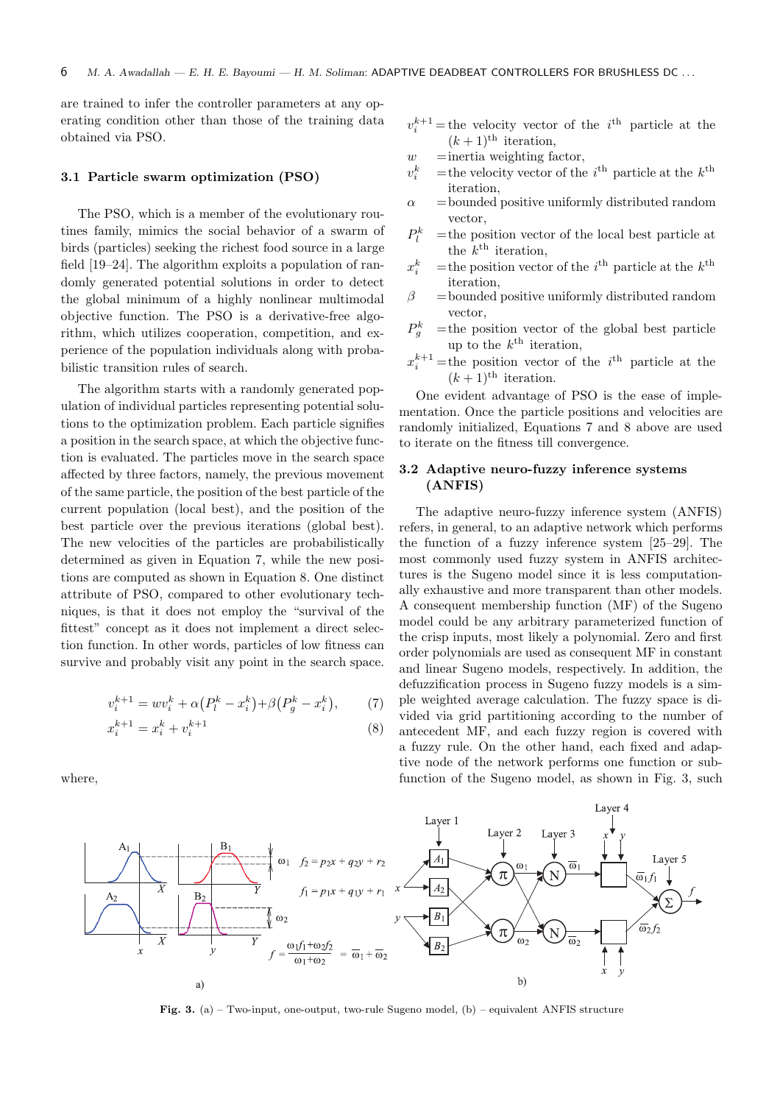are trained to infer the controller parameters at any operating condition other than those of the training data obtained via PSO.

### 3.1 Particle swarm optimization (PSO)

The PSO, which is a member of the evolutionary routines family, mimics the social behavior of a swarm of birds (particles) seeking the richest food source in a large field [19–24]. The algorithm exploits a population of randomly generated potential solutions in order to detect the global minimum of a highly nonlinear multimodal objective function. The PSO is a derivative-free algorithm, which utilizes cooperation, competition, and experience of the population individuals along with probabilistic transition rules of search.

The algorithm starts with a randomly generated population of individual particles representing potential solutions to the optimization problem. Each particle signifies a position in the search space, at which the objective function is evaluated. The particles move in the search space affected by three factors, namely, the previous movement of the same particle, the position of the best particle of the current population (local best), and the position of the best particle over the previous iterations (global best). The new velocities of the particles are probabilistically determined as given in Equation 7, while the new positions are computed as shown in Equation 8. One distinct attribute of PSO, compared to other evolutionary techniques, is that it does not employ the "survival of the fittest" concept as it does not implement a direct selection function. In other words, particles of low fitness can survive and probably visit any point in the search space.

$$
v_i^{k+1} = w v_i^k + \alpha (P_l^k - x_i^k) + \beta (P_g^k - x_i^k), \qquad (7)
$$

$$
x_i^{k+1} = x_i^k + v_i^{k+1} \tag{8}
$$

where,

- $v_i^{k+1}$  = the velocity vector of the *i*<sup>th</sup> particle at the  $(k+1)$ <sup>th</sup> iteration,
- $w =$ inertia weighting factor,
- $v_i^k$  $i_i^k$  = the velocity vector of the  $i^{\text{th}}$  particle at the  $k^{\text{th}}$ iteration,
- $\alpha$  = bounded positive uniformly distributed random vector,
- $P_l^k$  $=$  the position vector of the local best particle at the  $k^{\text{th}}$  iteration,
- $x_i^k$  $i_i^k$  = the position vector of the  $i^{\text{th}}$  particle at the  $k^{\text{th}}$ iteration,
- $\beta$  = bounded positive uniformly distributed random vector,
- $P_a^k$  $=$  the position vector of the global best particle up to the  $k^{\text{th}}$  iteration,
- $x_i^{k+1}$  =the position vector of the *i*<sup>th</sup> particle at the  $(k+1)$ <sup>th</sup> iteration.

One evident advantage of PSO is the ease of implementation. Once the particle positions and velocities are randomly initialized, Equations 7 and 8 above are used to iterate on the fitness till convergence.

## 3.2 Adaptive neuro-fuzzy inference systems (ANFIS)

The adaptive neuro-fuzzy inference system (ANFIS) refers, in general, to an adaptive network which performs the function of a fuzzy inference system [25–29]. The most commonly used fuzzy system in ANFIS architectures is the Sugeno model since it is less computationally exhaustive and more transparent than other models. A consequent membership function (MF) of the Sugeno model could be any arbitrary parameterized function of the crisp inputs, most likely a polynomial. Zero and first order polynomials are used as consequent MF in constant and linear Sugeno models, respectively. In addition, the defuzzification process in Sugeno fuzzy models is a simple weighted average calculation. The fuzzy space is divided via grid partitioning according to the number of antecedent MF, and each fuzzy region is covered with a fuzzy rule. On the other hand, each fixed and adaptive node of the network performs one function or subfunction of the Sugeno model, as shown in Fig. 3, such



Fig. 3. (a) – Two-input, one-output, two-rule Sugeno model, (b) – equivalent ANFIS structure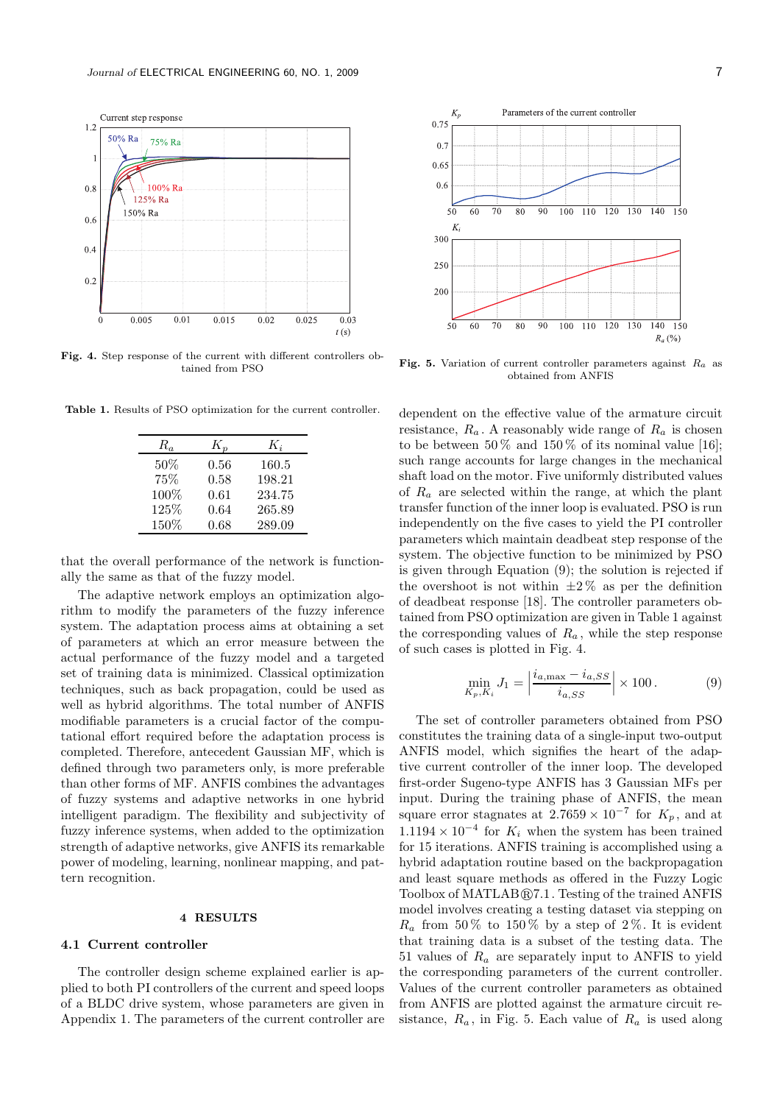

Fig. 4. Step response of the current with different controllers ob-

Table 1. Results of PSO optimization for the current controller.

| $R_a$ | $K_n$ | $K_i$  |
|-------|-------|--------|
| 50%   | 0.56  | 160.5  |
| 75%   | 0.58  | 198.21 |
| 100%  | 0.61  | 234.75 |
| 125%  | 0.64  | 265.89 |
| 150%  | 0.68  | 289.09 |

that the overall performance of the network is functionally the same as that of the fuzzy model.

The adaptive network employs an optimization algorithm to modify the parameters of the fuzzy inference system. The adaptation process aims at obtaining a set of parameters at which an error measure between the actual performance of the fuzzy model and a targeted set of training data is minimized. Classical optimization techniques, such as back propagation, could be used as well as hybrid algorithms. The total number of ANFIS modifiable parameters is a crucial factor of the computational effort required before the adaptation process is completed. Therefore, antecedent Gaussian MF, which is defined through two parameters only, is more preferable than other forms of MF. ANFIS combines the advantages of fuzzy systems and adaptive networks in one hybrid intelligent paradigm. The flexibility and subjectivity of fuzzy inference systems, when added to the optimization strength of adaptive networks, give ANFIS its remarkable power of modeling, learning, nonlinear mapping, and pattern recognition.

### 4 RESULTS

### 4.1 Current controller

The controller design scheme explained earlier is applied to both PI controllers of the current and speed loops of a BLDC drive system, whose parameters are given in Appendix 1. The parameters of the current controller are



Fig. 5. Variation of current controller parameters against  $R_a$  as tained from PSO obtained from ANFIS

dependent on the effective value of the armature circuit resistance,  $R_a$ . A reasonably wide range of  $R_a$  is chosen to be between  $50\%$  and  $150\%$  of its nominal value [16]; such range accounts for large changes in the mechanical shaft load on the motor. Five uniformly distributed values of  $R_a$  are selected within the range, at which the plant transfer function of the inner loop is evaluated. PSO is run independently on the five cases to yield the PI controller parameters which maintain deadbeat step response of the system. The objective function to be minimized by PSO is given through Equation (9); the solution is rejected if the overshoot is not within  $\pm 2\%$  as per the definition of deadbeat response [18]. The controller parameters obtained from PSO optimization are given in Table 1 against the corresponding values of  $R_a$ , while the step response of such cases is plotted in Fig. 4.

$$
\min_{K_p, K_i} J_1 = \left| \frac{i_{a, \max} - i_{a, SS}}{i_{a, SS}} \right| \times 100.
$$
 (9)

The set of controller parameters obtained from PSO constitutes the training data of a single-input two-output ANFIS model, which signifies the heart of the adaptive current controller of the inner loop. The developed first-order Sugeno-type ANFIS has 3 Gaussian MFs per input. During the training phase of ANFIS, the mean square error stagnates at  $2.7659 \times 10^{-7}$  for  $K_p$ , and at  $1.1194 \times 10^{-4}$  for  $K_i$  when the system has been trained for 15 iterations. ANFIS training is accomplished using a hybrid adaptation routine based on the backpropagation and least square methods as offered in the Fuzzy Logic Toolbox of  $MATLAB@7.1$ . Testing of the trained ANFIS model involves creating a testing dataset via stepping on  $R_a$  from 50% to 150% by a step of 2%. It is evident that training data is a subset of the testing data. The 51 values of  $R_a$  are separately input to ANFIS to yield the corresponding parameters of the current controller. Values of the current controller parameters as obtained from ANFIS are plotted against the armature circuit resistance,  $R_a$ , in Fig. 5. Each value of  $R_a$  is used along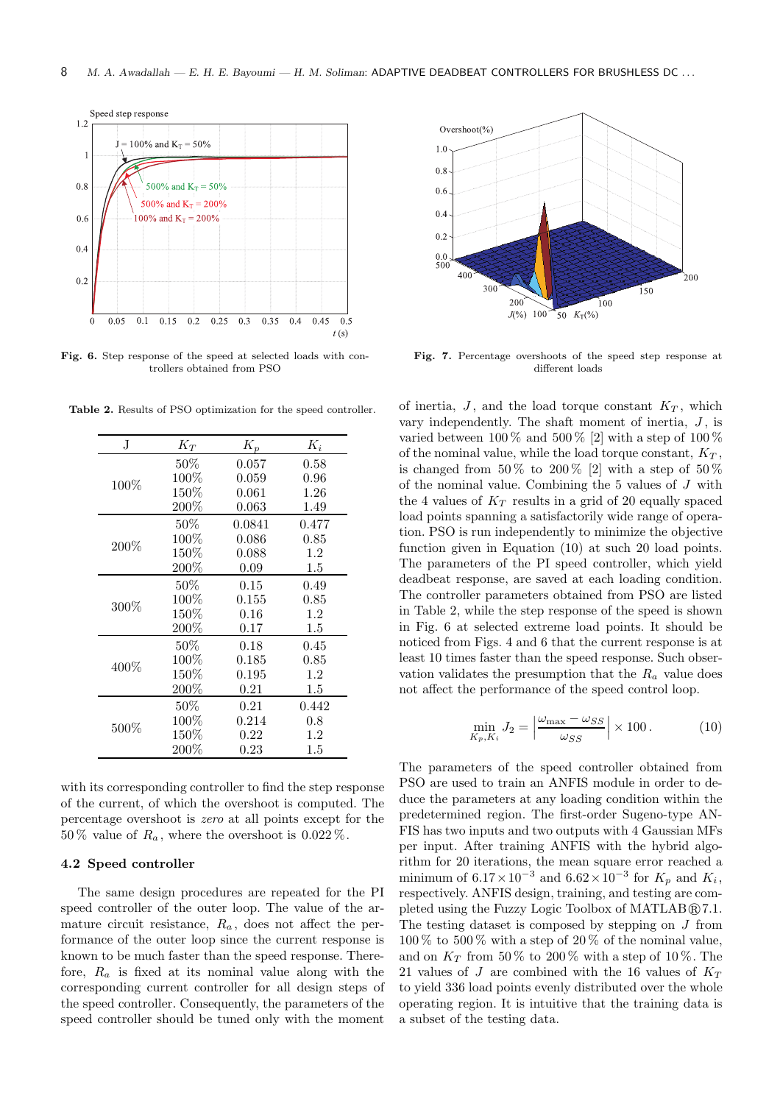

Fig. 6. Step response of the speed at selected loads with controllers obtained from PSO

|  |  |  |  | <b>Table 2.</b> Results of PSO optimization for the speed controller. |  |
|--|--|--|--|-----------------------------------------------------------------------|--|
|--|--|--|--|-----------------------------------------------------------------------|--|

| J.      | $K_T$   | $K_p$       | $K_i$   |
|---------|---------|-------------|---------|
| 100\%   | $50\%$  | 0.057       | 0.58    |
|         | $100\%$ | 0.059       | 0.96    |
|         | $150\%$ | 0.061       | 1.26    |
|         | $200\%$ | $\,0.063\,$ | 1.49    |
| $200\%$ | $50\%$  | 0.0841      | 0.477   |
|         | 100%    | 0.086       | 0.85    |
|         | $150\%$ | 0.088       | 1.2     |
|         | $200\%$ | 0.09        | $1.5\,$ |
| 300%    | $50\%$  | 0.15        | 0.49    |
|         | 100%    | 0.155       | 0.85    |
|         | $150\%$ | 0.16        | 1.2     |
|         | $200\%$ | 0.17        | $1.5\,$ |
| 400%    | $50\%$  | 0.18        | 0.45    |
|         | 100%    | 0.185       | 0.85    |
|         | $150\%$ | 0.195       | 1.2     |
|         | $200\%$ | 0.21        | $1.5\,$ |
| $500\%$ | $50\%$  | 0.21        | 0.442   |
|         | $100\%$ | 0.214       | 0.8     |
|         | $150\%$ | 0.22        | 1.2     |
|         | $200\%$ | 0.23        | $1.5\,$ |

with its corresponding controller to find the step response of the current, of which the overshoot is computed. The percentage overshoot is zero at all points except for the 50 % value of  $R_a$ , where the overshoot is 0.022 %.

### 4.2 Speed controller

The same design procedures are repeated for the PI speed controller of the outer loop. The value of the armature circuit resistance,  $R_a$ , does not affect the performance of the outer loop since the current response is known to be much faster than the speed response. Therefore,  $R_a$  is fixed at its nominal value along with the corresponding current controller for all design steps of the speed controller. Consequently, the parameters of the speed controller should be tuned only with the moment



Fig. 7. Percentage overshoots of the speed step response at different loads

of inertia,  $J$ , and the load torque constant  $K_T$ , which vary independently. The shaft moment of inertia,  $J$ , is varied between  $100\%$  and  $500\%$  [2] with a step of  $100\%$ of the nominal value, while the load torque constant,  $K_T$ , is changed from  $50\%$  to  $200\%$  [2] with a step of  $50\%$ of the nominal value. Combining the 5 values of J with the 4 values of  $K_T$  results in a grid of 20 equally spaced load points spanning a satisfactorily wide range of operation. PSO is run independently to minimize the objective function given in Equation (10) at such 20 load points. The parameters of the PI speed controller, which yield deadbeat response, are saved at each loading condition. The controller parameters obtained from PSO are listed in Table 2, while the step response of the speed is shown in Fig. 6 at selected extreme load points. It should be noticed from Figs. 4 and 6 that the current response is at least 10 times faster than the speed response. Such observation validates the presumption that the  $R_a$  value does not affect the performance of the speed control loop.

$$
\min_{K_p, K_i} J_2 = \left| \frac{\omega_{\text{max}} - \omega_{SS}}{\omega_{SS}} \right| \times 100. \tag{10}
$$

The parameters of the speed controller obtained from PSO are used to train an ANFIS module in order to deduce the parameters at any loading condition within the predetermined region. The first-order Sugeno-type AN-FIS has two inputs and two outputs with 4 Gaussian MFs per input. After training ANFIS with the hybrid algorithm for 20 iterations, the mean square error reached a minimum of  $6.17 \times 10^{-3}$  and  $6.62 \times 10^{-3}$  for  $K_p$  and  $K_i$ , respectively. ANFIS design, training, and testing are completed using the Fuzzy Logic Toolbox of  $MATLAB@7.1$ . The testing dataset is composed by stepping on  $J$  from  $100\%$  to  $500\%$  with a step of  $20\%$  of the nominal value, and on  $K_T$  from 50 % to 200 % with a step of 10 %. The 21 values of J are combined with the 16 values of  $K_T$ to yield 336 load points evenly distributed over the whole operating region. It is intuitive that the training data is a subset of the testing data.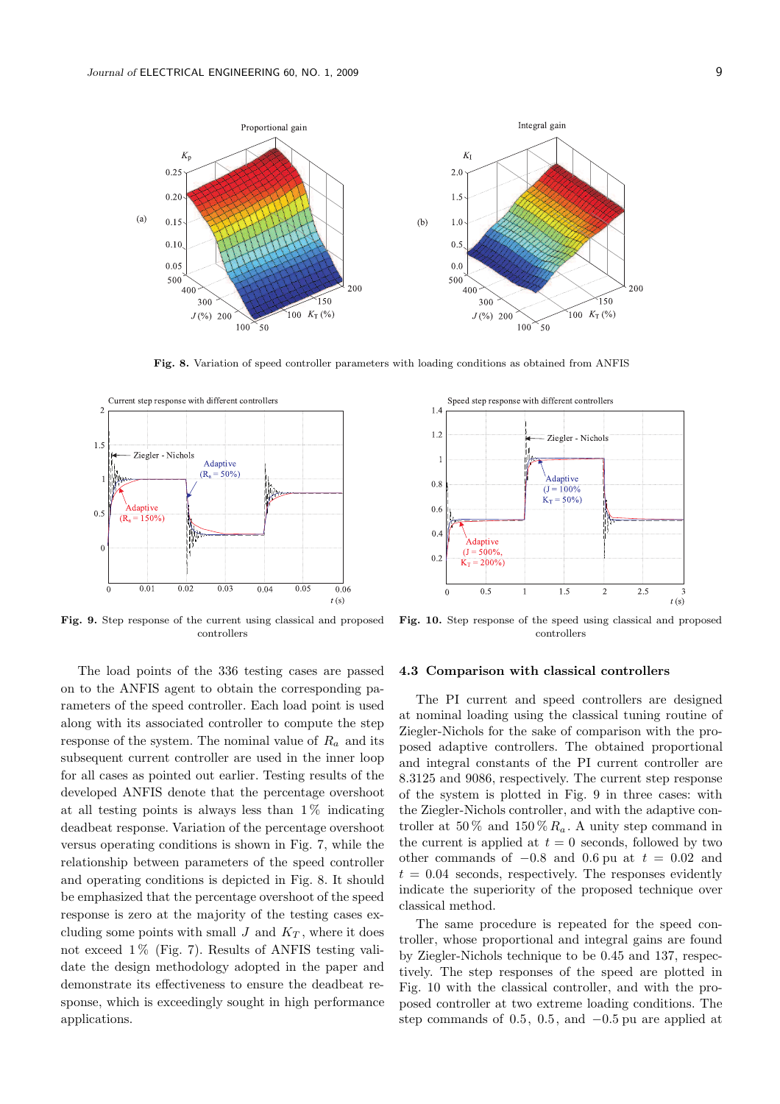

Fig. 8. Variation of speed controller parameters with loading conditions as obtained from ANFIS



Fig. 9. Step response of the current using classical and proposed controllers

The load points of the 336 testing cases are passed on to the ANFIS agent to obtain the corresponding parameters of the speed controller. Each load point is used along with its associated controller to compute the step response of the system. The nominal value of  $R_a$  and its subsequent current controller are used in the inner loop for all cases as pointed out earlier. Testing results of the developed ANFIS denote that the percentage overshoot at all testing points is always less than  $1\%$  indicating deadbeat response. Variation of the percentage overshoot versus operating conditions is shown in Fig. 7, while the relationship between parameters of the speed controller and operating conditions is depicted in Fig. 8. It should be emphasized that the percentage overshoot of the speed response is zero at the majority of the testing cases excluding some points with small  $J$  and  $K_T$ , where it does not exceed  $1\%$  (Fig. 7). Results of ANFIS testing validate the design methodology adopted in the paper and demonstrate its effectiveness to ensure the deadbeat response, which is exceedingly sought in high performance applications.



Fig. 10. Step response of the speed using classical and proposed controllers

### 4.3 Comparison with classical controllers

The PI current and speed controllers are designed at nominal loading using the classical tuning routine of Ziegler-Nichols for the sake of comparison with the proposed adaptive controllers. The obtained proportional and integral constants of the PI current controller are 8.3125 and 9086, respectively. The current step response of the system is plotted in Fig. 9 in three cases: with the Ziegler-Nichols controller, and with the adaptive controller at 50 % and 150 %  $R_a$ . A unity step command in the current is applied at  $t = 0$  seconds, followed by two other commands of  $-0.8$  and 0.6 pu at  $t = 0.02$  and  $t = 0.04$  seconds, respectively. The responses evidently indicate the superiority of the proposed technique over classical method.

The same procedure is repeated for the speed controller, whose proportional and integral gains are found by Ziegler-Nichols technique to be 0.45 and 137, respectively. The step responses of the speed are plotted in Fig. 10 with the classical controller, and with the proposed controller at two extreme loading conditions. The step commands of 0.5, 0.5, and −0.5 pu are applied at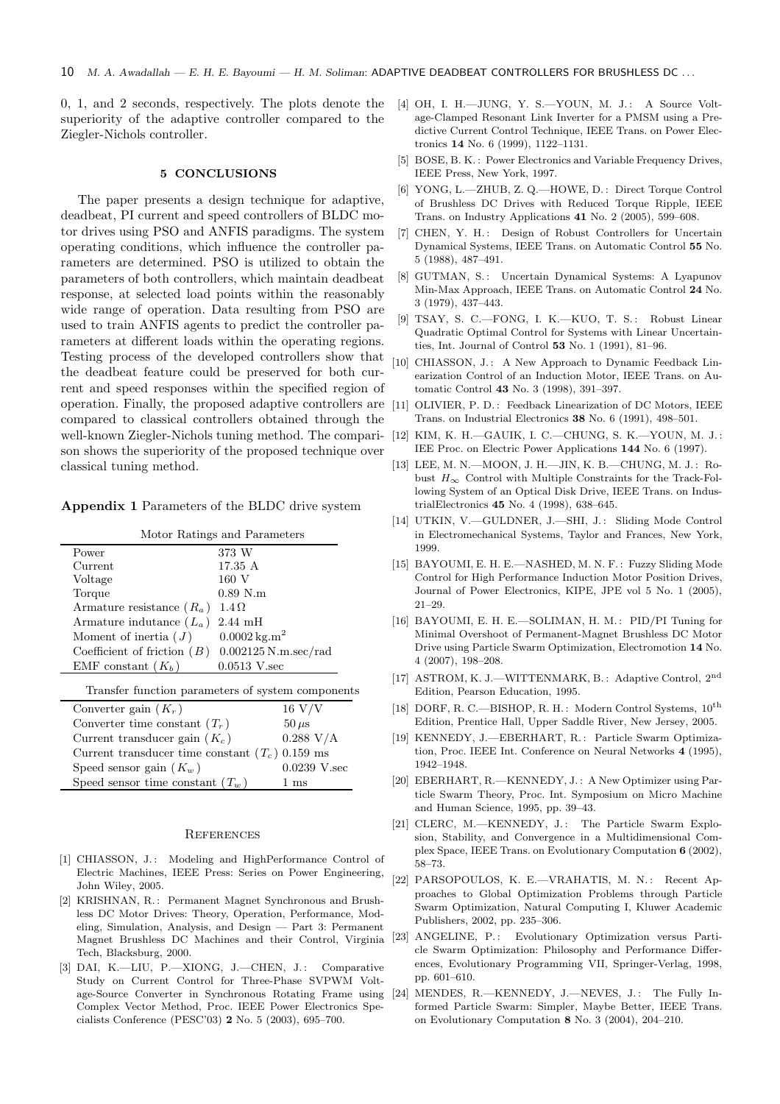0, 1, and 2 seconds, respectively. The plots denote the superiority of the adaptive controller compared to the Ziegler-Nichols controller.

### 5 CONCLUSIONS

The paper presents a design technique for adaptive, deadbeat, PI current and speed controllers of BLDC motor drives using PSO and ANFIS paradigms. The system operating conditions, which influence the controller parameters are determined. PSO is utilized to obtain the parameters of both controllers, which maintain deadbeat response, at selected load points within the reasonably wide range of operation. Data resulting from PSO are used to train ANFIS agents to predict the controller parameters at different loads within the operating regions. Testing process of the developed controllers show that the deadbeat feature could be preserved for both current and speed responses within the specified region of operation. Finally, the proposed adaptive controllers are compared to classical controllers obtained through the well-known Ziegler-Nichols tuning method. The comparison shows the superiority of the proposed technique over classical tuning method.

Appendix 1 Parameters of the BLDC drive system

| Motor Ratings and Parameters  |                         |  |  |  |
|-------------------------------|-------------------------|--|--|--|
| Power                         | 373 W                   |  |  |  |
| Current                       | 17.35 A                 |  |  |  |
| Voltage                       | 160 V                   |  |  |  |
| Torque                        | $0.89$ N.m              |  |  |  |
| Armature resistance $(R_a)$   | $1.4 \Omega$            |  |  |  |
| Armature indutance $(L_a)$    | $2.44$ mH               |  |  |  |
| Moment of inertia $(J)$       | $0.0002 \text{ kg.m}^2$ |  |  |  |
| Coefficient of friction $(B)$ | $0.002125$ N.m.sec/rad  |  |  |  |
| EMF constant $(K_b)$          | $0.0513$ V.sec          |  |  |  |
|                               |                         |  |  |  |

Transfer function parameters of system components

| Converter gain $(K_r)$                            | $16 \text{ V/V}$ |
|---------------------------------------------------|------------------|
| Converter time constant $(T_r)$                   | $50 \,\mu s$     |
| Current transducer gain $(K_c)$                   | 0.288 V/A        |
| Current transducer time constant $(T_c)$ 0.159 ms |                  |
| Speed sensor gain $(K_w)$                         | $0.0239$ V.sec   |
| Speed sensor time constant $(T_w)$                | $1 \text{ ms}$   |

#### **REFERENCES**

- [1] CHIASSON, J.: Modeling and HighPerformance Control of Electric Machines, IEEE Press: Series on Power Engineering, John Wiley, 2005.
- [2] KRISHNAN, R.: Permanent Magnet Synchronous and Brushless DC Motor Drives: Theory, Operation, Performance, Modeling, Simulation, Analysis, and Design — Part 3: Permanent Magnet Brushless DC Machines and their Control, Virginia Tech, Blacksburg, 2000.
- [3] DAI, K.-LIU, P.-XIONG, J.-CHEN, J.: Comparative Study on Current Control for Three-Phase SVPWM Voltage-Source Converter in Synchronous Rotating Frame using Complex Vector Method, Proc. IEEE Power Electronics Specialists Conference (PESC'03) 2 No. 5 (2003), 695–700.
- [4] OH, I. H.—JUNG, Y. S.—YOUN, M. J.: A Source Voltage-Clamped Resonant Link Inverter for a PMSM using a Predictive Current Control Technique, IEEE Trans. on Power Electronics 14 No. 6 (1999), 1122–1131.
- [5] BOSE, B. K. : Power Electronics and Variable Frequency Drives, IEEE Press, New York, 1997.
- [6] YONG, L.—ZHUB, Z. Q.—HOWE, D. : Direct Torque Control of Brushless DC Drives with Reduced Torque Ripple, IEEE Trans. on Industry Applications 41 No. 2 (2005), 599–608.
- [7] CHEN, Y. H.: Design of Robust Controllers for Uncertain Dynamical Systems, IEEE Trans. on Automatic Control 55 No. 5 (1988), 487–491.
- [8] GUTMAN, S.: Uncertain Dynamical Systems: A Lyapunov Min-Max Approach, IEEE Trans. on Automatic Control 24 No. 3 (1979), 437–443.
- [9] TSAY, S. C.—FONG, I. K.—KUO, T. S.: Robust Linear Quadratic Optimal Control for Systems with Linear Uncertainties, Int. Journal of Control 53 No. 1 (1991), 81–96.
- [10] CHIASSON, J.: A New Approach to Dynamic Feedback Linearization Control of an Induction Motor, IEEE Trans. on Automatic Control 43 No. 3 (1998), 391–397.
- [11] OLIVIER, P. D.: Feedback Linearization of DC Motors, IEEE Trans. on Industrial Electronics 38 No. 6 (1991), 498–501.
- [12] KIM, K. H.—GAUIK, I. C.—CHUNG, S. K.—YOUN, M. J. : IEE Proc. on Electric Power Applications 144 No. 6 (1997).
- [13] LEE, M. N.—MOON, J. H.—JIN, K. B.—CHUNG, M. J.: Robust  $H_{\infty}$  Control with Multiple Constraints for the Track-Following System of an Optical Disk Drive, IEEE Trans. on IndustrialElectronics 45 No. 4 (1998), 638–645.
- [14] UTKIN, V.-GULDNER, J.-SHI, J.: Sliding Mode Control in Electromechanical Systems, Taylor and Frances, New York, 1999.
- [15] BAYOUMI, E. H. E.—NASHED, M. N. F. : Fuzzy Sliding Mode Control for High Performance Induction Motor Position Drives, Journal of Power Electronics, KIPE, JPE vol 5 No. 1 (2005), 21–29.
- [16] BAYOUMI, E. H. E.—SOLIMAN, H. M. : PID/PI Tuning for Minimal Overshoot of Permanent-Magnet Brushless DC Motor Drive using Particle Swarm Optimization, Electromotion 14 No. 4 (2007), 198–208.
- [17] ASTROM, K. J.—WITTENMARK, B. : Adaptive Control, 2<sup>nd</sup> Edition, Pearson Education, 1995.
- [18] DORF, R. C.—BISHOP, R. H.: Modern Control Systems,  $10^{\text{th}}$ Edition, Prentice Hall, Upper Saddle River, New Jersey, 2005.
- [19] KENNEDY, J.-EBERHART, R.: Particle Swarm Optimization, Proc. IEEE Int. Conference on Neural Networks 4 (1995), 1942–1948.
- [20] EBERHART, R.—KENNEDY, J. : A New Optimizer using Particle Swarm Theory, Proc. Int. Symposium on Micro Machine and Human Science, 1995, pp. 39–43.
- [21] CLERC, M.-KENNEDY, J.: The Particle Swarm Explosion, Stability, and Convergence in a Multidimensional Complex Space, IEEE Trans. on Evolutionary Computation 6 (2002), 58–73.
- [22] PARSOPOULOS, K. E.—VRAHATIS, M. N.: Recent Approaches to Global Optimization Problems through Particle Swarm Optimization, Natural Computing I, Kluwer Academic Publishers, 2002, pp. 235–306.
- [23] ANGELINE, P.: Evolutionary Optimization versus Particle Swarm Optimization: Philosophy and Performance Differences, Evolutionary Programming VII, Springer-Verlag, 1998, pp. 601–610.
- [24] MENDES, R.-KENNEDY, J.-NEVES, J.: The Fully Informed Particle Swarm: Simpler, Maybe Better, IEEE Trans. on Evolutionary Computation 8 No. 3 (2004), 204–210.